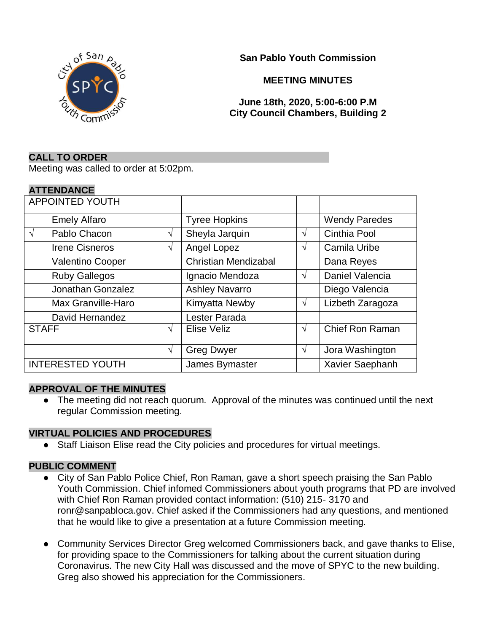**San Pablo Youth Commission**



**MEETING MINUTES**

# **June 18th, 2020, 5:00-6:00 P.M City Council Chambers, Building 2**

## **CALL TO ORDER**

Meeting was called to order at 5:02pm.

## **ATTENDANCE**

| <b>APPOINTED YOUTH</b>  |                         |            |                             |   |                        |
|-------------------------|-------------------------|------------|-----------------------------|---|------------------------|
|                         | <b>Emely Alfaro</b>     |            | <b>Tyree Hopkins</b>        |   | <b>Wendy Paredes</b>   |
| $\mathcal{N}$           | Pablo Chacon            | V          | Sheyla Jarquin              | V | Cinthia Pool           |
|                         | <b>Irene Cisneros</b>   | V          | Angel Lopez                 | V | Camila Uribe           |
|                         | <b>Valentino Cooper</b> |            | <b>Christian Mendizabal</b> |   | Dana Reyes             |
|                         | <b>Ruby Gallegos</b>    |            | Ignacio Mendoza             | V | Daniel Valencia        |
|                         | Jonathan Gonzalez       |            | <b>Ashley Navarro</b>       |   | Diego Valencia         |
|                         | Max Granville-Haro      |            | Kimyatta Newby              | V | Lizbeth Zaragoza       |
|                         | David Hernandez         |            | Lester Parada               |   |                        |
| <b>STAFF</b>            |                         | V          | Elise Veliz                 | N | <b>Chief Ron Raman</b> |
|                         |                         | $\sqrt{ }$ | <b>Greg Dwyer</b>           | V | Jora Washington        |
| <b>INTERESTED YOUTH</b> |                         |            | James Bymaster              |   | Xavier Saephanh        |

#### **APPROVAL OF THE MINUTES**

• The meeting did not reach quorum. Approval of the minutes was continued until the next regular Commission meeting.

#### **VIRTUAL POLICIES AND PROCEDURES**

● Staff Liaison Elise read the City policies and procedures for virtual meetings.

# **PUBLIC COMMENT**

- City of San Pablo Police Chief, Ron Raman, gave a short speech praising the San Pablo Youth Commission. Chief infomed Commissioners about youth programs that PD are involved with Chief Ron Raman provided contact information: (510) 215- 3170 and ronr@sanpabloca.gov. Chief asked if the Commissioners had any questions, and mentioned that he would like to give a presentation at a future Commission meeting.
- Community Services Director Greg welcomed Commissioners back, and gave thanks to Elise, for providing space to the Commissioners for talking about the current situation during Coronavirus. The new City Hall was discussed and the move of SPYC to the new building. Greg also showed his appreciation for the Commissioners.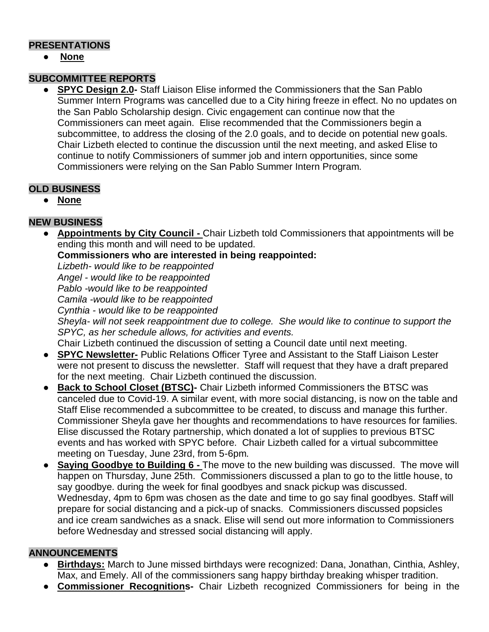# **PRESENTATIONS**

● **None**

# **SUBCOMMITTEE REPORTS**

**SPYC Design 2.0-** Staff Liaison Elise informed the Commissioners that the San Pablo Summer Intern Programs was cancelled due to a City hiring freeze in effect. No no updates on the San Pablo Scholarship design. Civic engagement can continue now that the Commissioners can meet again. Elise recommended that the Commissioners begin a subcommittee, to address the closing of the 2.0 goals, and to decide on potential new goals. Chair Lizbeth elected to continue the discussion until the next meeting, and asked Elise to continue to notify Commissioners of summer job and intern opportunities, since some Commissioners were relying on the San Pablo Summer Intern Program.

# **OLD BUSINESS**

● **None**

# **NEW BUSINESS**

● **Appointments by City Council -** Chair Lizbeth told Commissioners that appointments will be ending this month and will need to be updated.

**Commissioners who are interested in being reappointed:**

*Lizbeth- would like to be reappointed*

*Angel - would like to be reappointed*

*Pablo -would like to be reappointed*

*Camila -would like to be reappointed*

*Cynthia - would like to be reappointed*

*Sheyla- will not seek reappointment due to college. She would like to continue to support the SPYC, as her schedule allows, for activities and events.* 

Chair Lizbeth continued the discussion of setting a Council date until next meeting.

- **SPYC Newsletter-** Public Relations Officer Tyree and Assistant to the Staff Liaison Lester were not present to discuss the newsletter. Staff will request that they have a draft prepared for the next meeting. Chair Lizbeth continued the discussion.
- **Back to School Closet (BTSC)-** Chair Lizbeth informed Commissioners the BTSC was canceled due to Covid-19. A similar event, with more social distancing, is now on the table and Staff Elise recommended a subcommittee to be created, to discuss and manage this further. Commissioner Sheyla gave her thoughts and recommendations to have resources for families. Elise discussed the Rotary partnership, which donated a lot of supplies to previous BTSC events and has worked with SPYC before. Chair Lizbeth called for a virtual subcommittee meeting on Tuesday, June 23rd, from 5-6pm.
- **Saying Goodbye to Building 6 -** The move to the new building was discussed. The move will happen on Thursday, June 25th. Commissioners discussed a plan to go to the little house, to say goodbye. during the week for final goodbyes and snack pickup was discussed. Wednesday, 4pm to 6pm was chosen as the date and time to go say final goodbyes. Staff will prepare for social distancing and a pick-up of snacks. Commissioners discussed popsicles and ice cream sandwiches as a snack. Elise will send out more information to Commissioners before Wednesday and stressed social distancing will apply.

# **ANNOUNCEMENTS**

- **Birthdays:** March to June missed birthdays were recognized: Dana, Jonathan, Cinthia, Ashley, Max, and Emely. All of the commissioners sang happy birthday breaking whisper tradition.
- **Commissioner Recognitions-** Chair Lizbeth recognized Commissioners for being in the